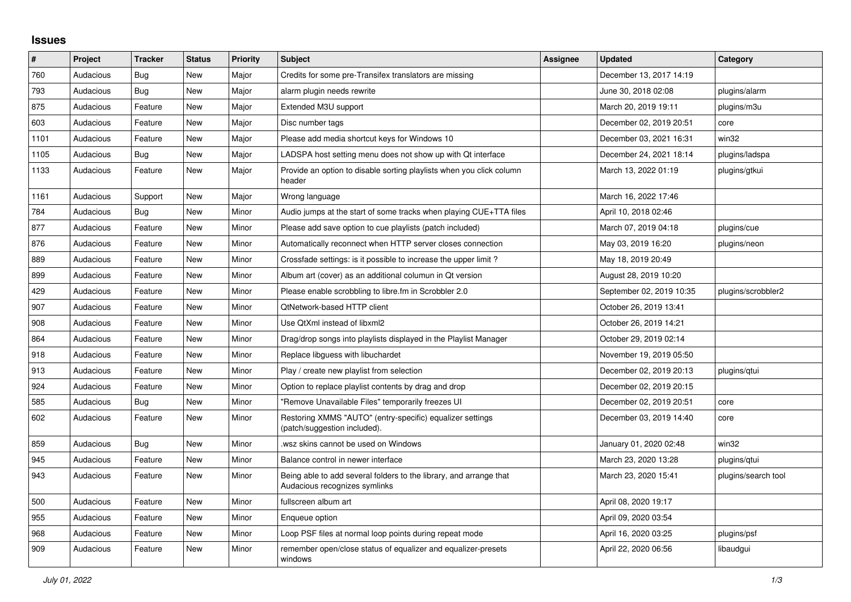## **Issues**

| ∦    | Project   | <b>Tracker</b> | <b>Status</b> | <b>Priority</b> | <b>Subject</b>                                                                                      | Assignee | <b>Updated</b>           | Category            |
|------|-----------|----------------|---------------|-----------------|-----------------------------------------------------------------------------------------------------|----------|--------------------------|---------------------|
| 760  | Audacious | Bug            | <b>New</b>    | Major           | Credits for some pre-Transifex translators are missing                                              |          | December 13, 2017 14:19  |                     |
| 793  | Audacious | Bug            | New           | Major           | alarm plugin needs rewrite                                                                          |          | June 30, 2018 02:08      | plugins/alarm       |
| 875  | Audacious | Feature        | <b>New</b>    | Major           | Extended M3U support                                                                                |          | March 20, 2019 19:11     | plugins/m3u         |
| 603  | Audacious | Feature        | New           | Major           | Disc number tags                                                                                    |          | December 02, 2019 20:51  | core                |
| 1101 | Audacious | Feature        | <b>New</b>    | Major           | Please add media shortcut keys for Windows 10                                                       |          | December 03, 2021 16:31  | win32               |
| 1105 | Audacious | Bug            | <b>New</b>    | Major           | LADSPA host setting menu does not show up with Qt interface                                         |          | December 24, 2021 18:14  | plugins/ladspa      |
| 1133 | Audacious | Feature        | New           | Major           | Provide an option to disable sorting playlists when you click column<br>header                      |          | March 13, 2022 01:19     | plugins/gtkui       |
| 1161 | Audacious | Support        | <b>New</b>    | Major           | Wrong language                                                                                      |          | March 16, 2022 17:46     |                     |
| 784  | Audacious | Bug            | New           | Minor           | Audio jumps at the start of some tracks when playing CUE+TTA files                                  |          | April 10, 2018 02:46     |                     |
| 877  | Audacious | Feature        | New           | Minor           | Please add save option to cue playlists (patch included)                                            |          | March 07, 2019 04:18     | plugins/cue         |
| 876  | Audacious | Feature        | New           | Minor           | Automatically reconnect when HTTP server closes connection                                          |          | May 03, 2019 16:20       | plugins/neon        |
| 889  | Audacious | Feature        | New           | Minor           | Crossfade settings: is it possible to increase the upper limit?                                     |          | May 18, 2019 20:49       |                     |
| 899  | Audacious | Feature        | <b>New</b>    | Minor           | Album art (cover) as an additional columun in Qt version                                            |          | August 28, 2019 10:20    |                     |
| 429  | Audacious | Feature        | <b>New</b>    | Minor           | Please enable scrobbling to libre.fm in Scrobbler 2.0                                               |          | September 02, 2019 10:35 | plugins/scrobbler2  |
| 907  | Audacious | Feature        | New           | Minor           | <b>QtNetwork-based HTTP client</b>                                                                  |          | October 26, 2019 13:41   |                     |
| 908  | Audacious | Feature        | New           | Minor           | Use QtXml instead of libxml2                                                                        |          | October 26, 2019 14:21   |                     |
| 864  | Audacious | Feature        | <b>New</b>    | Minor           | Drag/drop songs into playlists displayed in the Playlist Manager                                    |          | October 29, 2019 02:14   |                     |
| 918  | Audacious | Feature        | New           | Minor           | Replace libguess with libuchardet                                                                   |          | November 19, 2019 05:50  |                     |
| 913  | Audacious | Feature        | <b>New</b>    | Minor           | Play / create new playlist from selection                                                           |          | December 02, 2019 20:13  | plugins/qtui        |
| 924  | Audacious | Feature        | <b>New</b>    | Minor           | Option to replace playlist contents by drag and drop                                                |          | December 02, 2019 20:15  |                     |
| 585  | Audacious | Bug            | <b>New</b>    | Minor           | "Remove Unavailable Files" temporarily freezes UI                                                   |          | December 02, 2019 20:51  | core                |
| 602  | Audacious | Feature        | <b>New</b>    | Minor           | Restoring XMMS "AUTO" (entry-specific) equalizer settings<br>(patch/suggestion included).           |          | December 03, 2019 14:40  | core                |
| 859  | Audacious | <b>Bug</b>     | <b>New</b>    | Minor           | wsz skins cannot be used on Windows                                                                 |          | January 01, 2020 02:48   | win32               |
| 945  | Audacious | Feature        | New           | Minor           | Balance control in newer interface                                                                  |          | March 23, 2020 13:28     | plugins/gtui        |
| 943  | Audacious | Feature        | New           | Minor           | Being able to add several folders to the library, and arrange that<br>Audacious recognizes symlinks |          | March 23, 2020 15:41     | plugins/search tool |
| 500  | Audacious | Feature        | New           | Minor           | fullscreen album art                                                                                |          | April 08, 2020 19:17     |                     |
| 955  | Audacious | Feature        | <b>New</b>    | Minor           | Enqueue option                                                                                      |          | April 09, 2020 03:54     |                     |
| 968  | Audacious | Feature        | New           | Minor           | Loop PSF files at normal loop points during repeat mode                                             |          | April 16, 2020 03:25     | plugins/psf         |
| 909  | Audacious | Feature        | <b>New</b>    | Minor           | remember open/close status of equalizer and equalizer-presets<br>windows                            |          | April 22, 2020 06:56     | libaudgui           |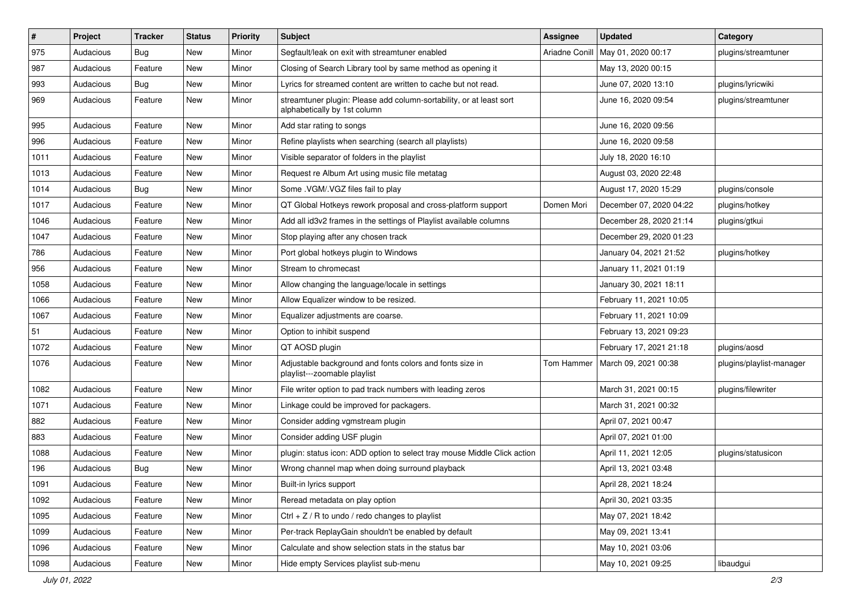| $\vert$ # | Project   | <b>Tracker</b> | <b>Status</b> | <b>Priority</b> | <b>Subject</b>                                                                                      | <b>Assignee</b> | <b>Updated</b>          | Category                 |
|-----------|-----------|----------------|---------------|-----------------|-----------------------------------------------------------------------------------------------------|-----------------|-------------------------|--------------------------|
| 975       | Audacious | <b>Bug</b>     | New           | Minor           | Segfault/leak on exit with streamtuner enabled                                                      | Ariadne Conill  | May 01, 2020 00:17      | plugins/streamtuner      |
| 987       | Audacious | Feature        | <b>New</b>    | Minor           | Closing of Search Library tool by same method as opening it                                         |                 | May 13, 2020 00:15      |                          |
| 993       | Audacious | Bug            | New           | Minor           | Lyrics for streamed content are written to cache but not read.                                      |                 | June 07, 2020 13:10     | plugins/lyricwiki        |
| 969       | Audacious | Feature        | New           | Minor           | streamtuner plugin: Please add column-sortability, or at least sort<br>alphabetically by 1st column |                 | June 16, 2020 09:54     | plugins/streamtuner      |
| 995       | Audacious | Feature        | New           | Minor           | Add star rating to songs                                                                            |                 | June 16, 2020 09:56     |                          |
| 996       | Audacious | Feature        | New           | Minor           | Refine playlists when searching (search all playlists)                                              |                 | June 16, 2020 09:58     |                          |
| 1011      | Audacious | Feature        | New           | Minor           | Visible separator of folders in the playlist                                                        |                 | July 18, 2020 16:10     |                          |
| 1013      | Audacious | Feature        | New           | Minor           | Request re Album Art using music file metatag                                                       |                 | August 03, 2020 22:48   |                          |
| 1014      | Audacious | <b>Bug</b>     | <b>New</b>    | Minor           | Some .VGM/.VGZ files fail to play                                                                   |                 | August 17, 2020 15:29   | plugins/console          |
| 1017      | Audacious | Feature        | New           | Minor           | QT Global Hotkeys rework proposal and cross-platform support                                        | Domen Mori      | December 07, 2020 04:22 | plugins/hotkey           |
| 1046      | Audacious | Feature        | New           | Minor           | Add all id3v2 frames in the settings of Playlist available columns                                  |                 | December 28, 2020 21:14 | plugins/gtkui            |
| 1047      | Audacious | Feature        | <b>New</b>    | Minor           | Stop playing after any chosen track                                                                 |                 | December 29, 2020 01:23 |                          |
| 786       | Audacious | Feature        | New           | Minor           | Port global hotkeys plugin to Windows                                                               |                 | January 04, 2021 21:52  | plugins/hotkey           |
| 956       | Audacious | Feature        | New           | Minor           | Stream to chromecast                                                                                |                 | January 11, 2021 01:19  |                          |
| 1058      | Audacious | Feature        | New           | Minor           | Allow changing the language/locale in settings                                                      |                 | January 30, 2021 18:11  |                          |
| 1066      | Audacious | Feature        | New           | Minor           | Allow Equalizer window to be resized.                                                               |                 | February 11, 2021 10:05 |                          |
| 1067      | Audacious | Feature        | New           | Minor           | Equalizer adjustments are coarse.                                                                   |                 | February 11, 2021 10:09 |                          |
| 51        | Audacious | Feature        | New           | Minor           | Option to inhibit suspend                                                                           |                 | February 13, 2021 09:23 |                          |
| 1072      | Audacious | Feature        | New           | Minor           | QT AOSD plugin                                                                                      |                 | February 17, 2021 21:18 | plugins/aosd             |
| 1076      | Audacious | Feature        | New           | Minor           | Adjustable background and fonts colors and fonts size in<br>playlist---zoomable playlist            | Tom Hammer      | March 09, 2021 00:38    | plugins/playlist-manager |
| 1082      | Audacious | Feature        | New           | Minor           | File writer option to pad track numbers with leading zeros                                          |                 | March 31, 2021 00:15    | plugins/filewriter       |
| 1071      | Audacious | Feature        | New           | Minor           | Linkage could be improved for packagers.                                                            |                 | March 31, 2021 00:32    |                          |
| 882       | Audacious | Feature        | New           | Minor           | Consider adding vgmstream plugin                                                                    |                 | April 07, 2021 00:47    |                          |
| 883       | Audacious | Feature        | New           | Minor           | Consider adding USF plugin                                                                          |                 | April 07, 2021 01:00    |                          |
| 1088      | Audacious | Feature        | New           | Minor           | plugin: status icon: ADD option to select tray mouse Middle Click action                            |                 | April 11, 2021 12:05    | plugins/statusicon       |
| 196       | Audacious | <b>Bug</b>     | New           | Minor           | Wrong channel map when doing surround playback                                                      |                 | April 13, 2021 03:48    |                          |
| 1091      | Audacious | Feature        | New           | Minor           | Built-in lyrics support                                                                             |                 | April 28, 2021 18:24    |                          |
| 1092      | Audacious | Feature        | New           | Minor           | Reread metadata on play option                                                                      |                 | April 30, 2021 03:35    |                          |
| 1095      | Audacious | Feature        | New           | Minor           | Ctrl + $Z$ / R to undo / redo changes to playlist                                                   |                 | May 07, 2021 18:42      |                          |
| 1099      | Audacious | Feature        | New           | Minor           | Per-track ReplayGain shouldn't be enabled by default                                                |                 | May 09, 2021 13:41      |                          |
| 1096      | Audacious | Feature        | New           | Minor           | Calculate and show selection stats in the status bar                                                |                 | May 10, 2021 03:06      |                          |
| 1098      | Audacious | Feature        | New           | Minor           | Hide empty Services playlist sub-menu                                                               |                 | May 10, 2021 09:25      | libaudgui                |